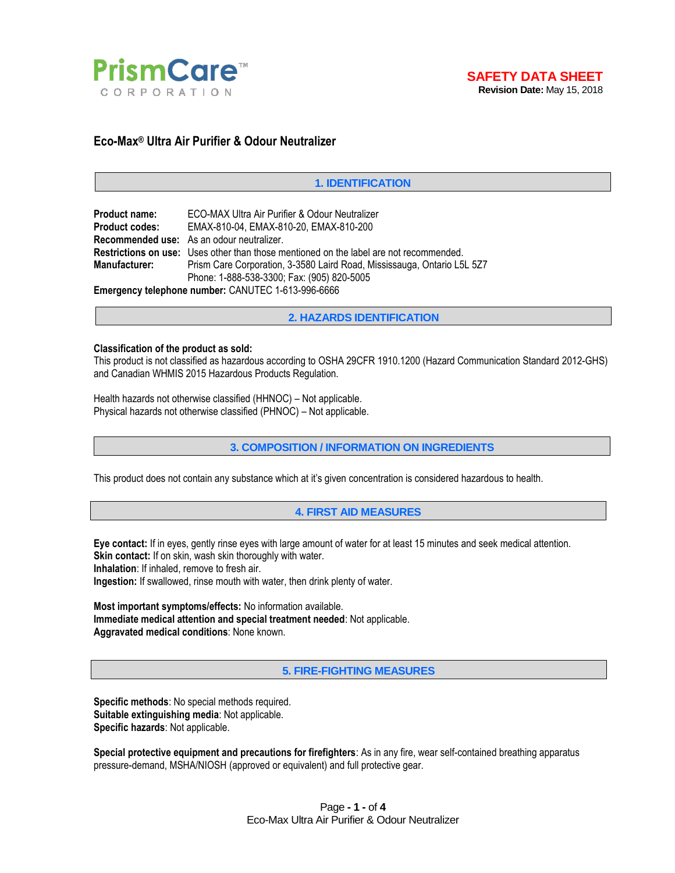



# **Eco-Max® Ultra Air Purifier & Odour Neutralizer**

## **1. IDENTIFICATION**

| <b>Product name:</b>                               | ECO-MAX Ultra Air Purifier & Odour Neutralizer                                                |  |  |
|----------------------------------------------------|-----------------------------------------------------------------------------------------------|--|--|
| <b>Product codes:</b>                              | EMAX-810-04, EMAX-810-20, EMAX-810-200                                                        |  |  |
|                                                    | Recommended use: As an odour neutralizer.                                                     |  |  |
|                                                    | <b>Restrictions on use:</b> Uses other than those mentioned on the label are not recommended. |  |  |
| <b>Manufacturer:</b>                               | Prism Care Corporation, 3-3580 Laird Road, Mississauga, Ontario L5L 527                       |  |  |
|                                                    | Phone: 1-888-538-3300; Fax: (905) 820-5005                                                    |  |  |
| Emergency telephone number: CANUTEC 1-613-996-6666 |                                                                                               |  |  |

**2. HAZARDS IDENTIFICATION**

#### **Classification of the product as sold:**

This product is not classified as hazardous according to OSHA 29CFR 1910.1200 (Hazard Communication Standard 2012-GHS) and Canadian WHMIS 2015 Hazardous Products Regulation.

Health hazards not otherwise classified (HHNOC) – Not applicable. Physical hazards not otherwise classified (PHNOC) – Not applicable.

**3. COMPOSITION / INFORMATION ON INGREDIENTS**

This product does not contain any substance which at it's given concentration is considered hazardous to health.

**4. FIRST AID MEASURES**

**Eye contact:** If in eyes, gently rinse eyes with large amount of water for at least 15 minutes and seek medical attention. **Skin contact:** If on skin, wash skin thoroughly with water.

**Inhalation**: If inhaled, remove to fresh air.

**Ingestion:** If swallowed, rinse mouth with water, then drink plenty of water.

**Most important symptoms/effects:** No information available. **Immediate medical attention and special treatment needed**: Not applicable. **Aggravated medical conditions**: None known.

**5. FIRE-FIGHTING MEASURES**

**Specific methods**: No special methods required. **Suitable extinguishing media**: Not applicable. **Specific hazards**: Not applicable.

**Special protective equipment and precautions for firefighters**: As in any fire, wear self-contained breathing apparatus pressure-demand, MSHA/NIOSH (approved or equivalent) and full protective gear.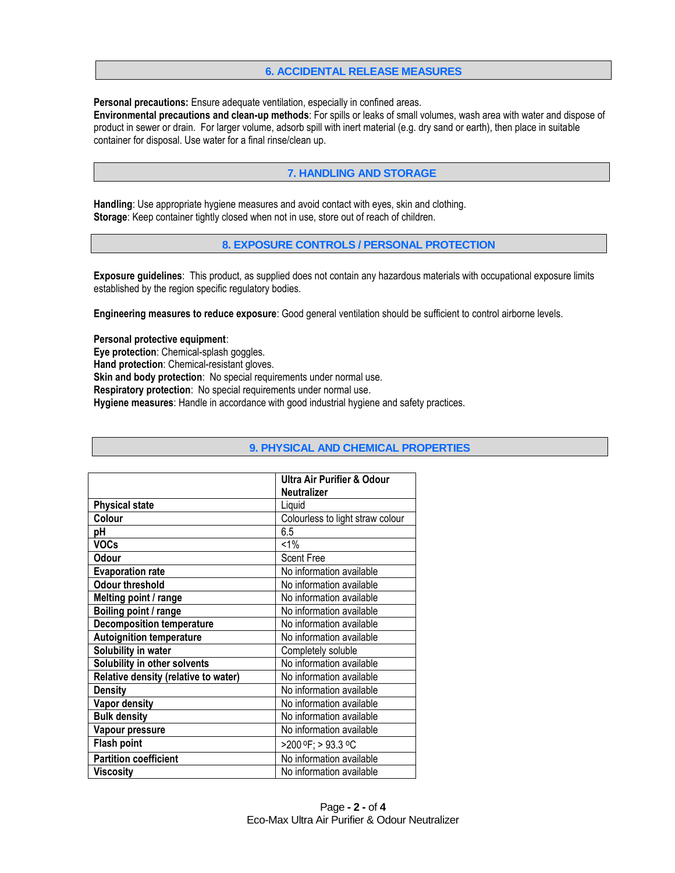# **6. ACCIDENTAL RELEASE MEASURES**

**Personal precautions:** Ensure adequate ventilation, especially in confined areas.

**Environmental precautions and clean-up methods**: For spills or leaks of small volumes, wash area with water and dispose of product in sewer or drain. For larger volume, adsorb spill with inert material (e.g. dry sand or earth), then place in suitable container for disposal. Use water for a final rinse/clean up.

# **7. HANDLING AND STORAGE**

**Handling**: Use appropriate hygiene measures and avoid contact with eyes, skin and clothing. **Storage**: Keep container tightly closed when not in use, store out of reach of children.

**8. EXPOSURE CONTROLS / PERSONAL PROTECTION**

**Exposure guidelines**: This product, as supplied does not contain any hazardous materials with occupational exposure limits established by the region specific regulatory bodies.

**Engineering measures to reduce exposure**: Good general ventilation should be sufficient to control airborne levels.

**Personal protective equipment**:

**Eye protection**: Chemical-splash goggles.

**Hand protection**: Chemical-resistant gloves.

**Skin and body protection:** No special requirements under normal use.

**Respiratory protection**: No special requirements under normal use.

**Hygiene measures**: Handle in accordance with good industrial hygiene and safety practices.

|                                      | <b>Ultra Air Purifier &amp; Odour</b> |
|--------------------------------------|---------------------------------------|
|                                      | <b>Neutralizer</b>                    |
| <b>Physical state</b>                | Liquid                                |
| Colour                               | Colourless to light straw colour      |
| рH                                   | 6.5                                   |
| <b>VOCs</b>                          | $< 1\%$                               |
| Odour                                | <b>Scent Free</b>                     |
| <b>Evaporation rate</b>              | No information available              |
| <b>Odour threshold</b>               | No information available              |
| Melting point / range                | No information available              |
| Boiling point / range                | No information available              |
| <b>Decomposition temperature</b>     | No information available              |
| <b>Autoignition temperature</b>      | No information available              |
| Solubility in water                  | Completely soluble                    |
| Solubility in other solvents         | No information available              |
| Relative density (relative to water) | No information available              |
| Density                              | No information available              |
| Vapor density                        | No information available              |
| <b>Bulk density</b>                  | No information available              |
| Vapour pressure                      | No information available              |
| Flash point                          | >200 °F; > 93.3 °C                    |
| <b>Partition coefficient</b>         | No information available              |
| Viscosity                            | No information available              |

# **9. PHYSICAL AND CHEMICAL PROPERTIES**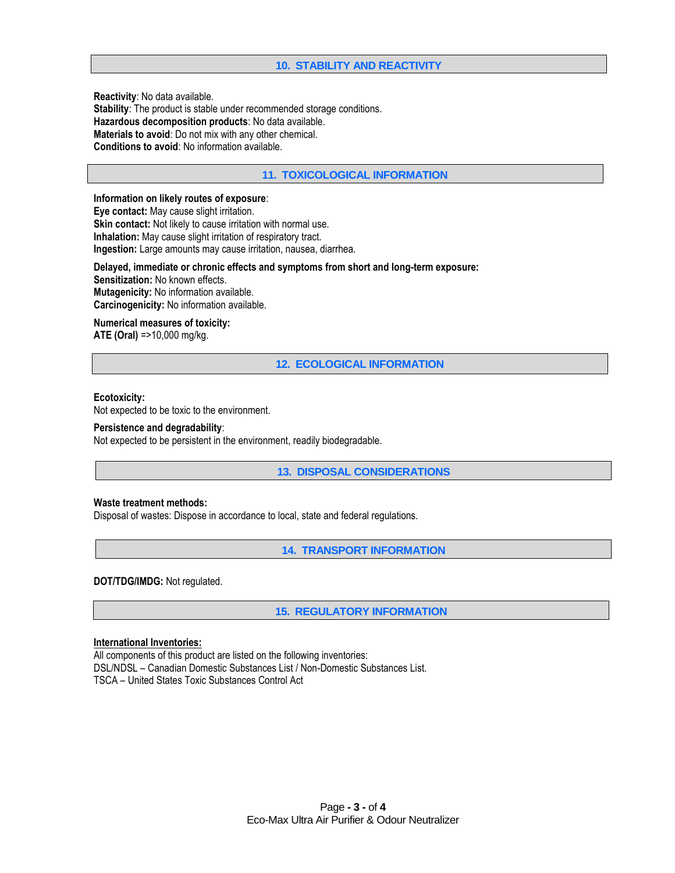# **10. STABILITY AND REACTIVITY**

**Reactivity**: No data available. **Stability**: The product is stable under recommended storage conditions. **Hazardous decomposition products**: No data available. **Materials to avoid**: Do not mix with any other chemical. **Conditions to avoid**: No information available.

## **11. TOXICOLOGICAL INFORMATION**

### **Information on likely routes of exposure**:

**Eye contact:** May cause slight irritation. **Skin contact:** Not likely to cause irritation with normal use. **Inhalation:** May cause slight irritation of respiratory tract. **Ingestion:** Large amounts may cause irritation, nausea, diarrhea.

**Delayed, immediate or chronic effects and symptoms from short and long-term exposure: Sensitization:** No known effects. **Mutagenicity:** No information available. **Carcinogenicity:** No information available.

### **Numerical measures of toxicity:**

**ATE (Oral)** =>10,000 mg/kg.

**12. ECOLOGICAL INFORMATION**

#### **Ecotoxicity:**

Not expected to be toxic to the environment.

#### **Persistence and degradability**:

Not expected to be persistent in the environment, readily biodegradable.

**13. DISPOSAL CONSIDERATIONS**

### **Waste treatment methods:**

Disposal of wastes: Dispose in accordance to local, state and federal regulations.

**14. TRANSPORT INFORMATION**

**DOT/TDG/IMDG:** Not regulated.

**15. REGULATORY INFORMATION**

### **International Inventories:**

All components of this product are listed on the following inventories: DSL/NDSL – Canadian Domestic Substances List / Non-Domestic Substances List. TSCA – United States Toxic Substances Control Act